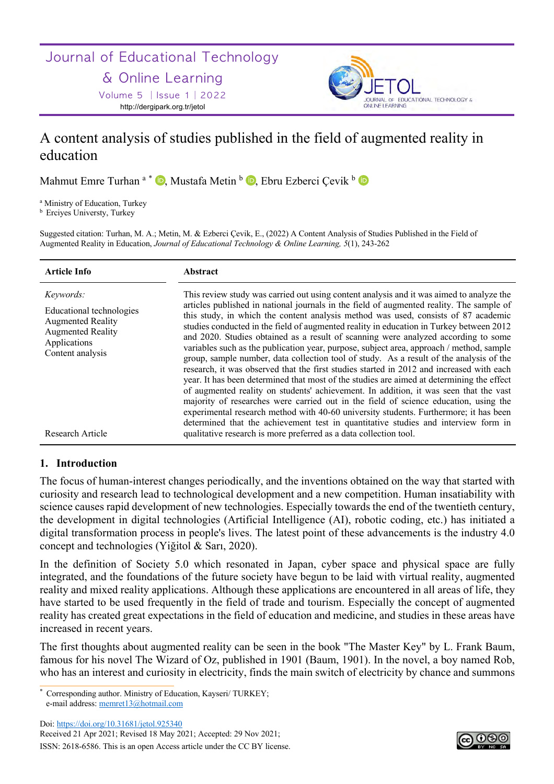# Journal of Educational Technology

# & Online Learning

Volume 5 │Issue 1│2022 http://dergipark.org.tr/jetol



# A content analysis of studies published in the field of augmented reality in education

Mahmut Emre Turhan <sup>a \*</sup> D, Mustafa Metin <sup>b</sup> D, Ebru Ezberci Çevik <sup>b</sup> D

<sup>a</sup> Ministry of Education, Turkey<br><sup>b</sup> Erciyes Universty, Turkey

Suggested citation: Turhan, M. A.; Metin, M. & Ezberci Çevik, E., (2022) A Content Analysis of Studies Published in the Field of Augmented Reality in Education, *Journal of Educational Technology & Online Learning, 5*(1), 243-262

| Keywords:<br>Educational technologies<br><b>Augmented Reality</b><br><b>Augmented Reality</b><br>Applications<br>Content analysis | <b>Article Info</b> | <b>Abstract</b>                                                                                                                                                                                                                                                                                                                                                                                                                                                                                                                                                                                                                                                                                                                                                                                                                                                                                                                                                                                                                                                                                                                                                                                             |
|-----------------------------------------------------------------------------------------------------------------------------------|---------------------|-------------------------------------------------------------------------------------------------------------------------------------------------------------------------------------------------------------------------------------------------------------------------------------------------------------------------------------------------------------------------------------------------------------------------------------------------------------------------------------------------------------------------------------------------------------------------------------------------------------------------------------------------------------------------------------------------------------------------------------------------------------------------------------------------------------------------------------------------------------------------------------------------------------------------------------------------------------------------------------------------------------------------------------------------------------------------------------------------------------------------------------------------------------------------------------------------------------|
| qualitative research is more preferred as a data collection tool.<br>Research Article                                             |                     | This review study was carried out using content analysis and it was aimed to analyze the<br>articles published in national journals in the field of augmented reality. The sample of<br>this study, in which the content analysis method was used, consists of 87 academic<br>studies conducted in the field of augmented reality in education in Turkey between 2012<br>and 2020. Studies obtained as a result of scanning were analyzed according to some<br>variables such as the publication year, purpose, subject area, approach / method, sample<br>group, sample number, data collection tool of study. As a result of the analysis of the<br>research, it was observed that the first studies started in 2012 and increased with each<br>year. It has been determined that most of the studies are aimed at determining the effect<br>of augmented reality on students' achievement. In addition, it was seen that the vast<br>majority of researches were carried out in the field of science education, using the<br>experimental research method with 40-60 university students. Furthermore; it has been<br>determined that the achievement test in quantitative studies and interview form in |

# **1. Introduction**

The focus of human-interest changes periodically, and the inventions obtained on the way that started with curiosity and research lead to technological development and a new competition. Human insatiability with science causes rapid development of new technologies. Especially towards the end of the twentieth century, the development in digital technologies (Artificial Intelligence (AI), robotic coding, etc.) has initiated a digital transformation process in people's lives. The latest point of these advancements is the industry 4.0 concept and technologies (Yiğitol & Sarı, 2020).

In the definition of Society 5.0 which resonated in Japan, cyber space and physical space are fully integrated, and the foundations of the future society have begun to be laid with virtual reality, augmented reality and mixed reality applications. Although these applications are encountered in all areas of life, they have started to be used frequently in the field of trade and tourism. Especially the concept of augmented reality has created great expectations in the field of education and medicine, and studies in these areas have increased in recent years.

The first thoughts about augmented reality can be seen in the book "The Master Key" by L. Frank Baum, famous for his novel The Wizard of Oz, published in 1901 (Baum, 1901). In the novel, a boy named Rob, who has an interest and curiosity in electricity, finds the main switch of electricity by chance and summons

Doi: https://doi.org/10.31681/jetol.925340

Received 21 Apr 2021; Revised 18 May 2021; Accepted: 29 Nov 2021; ISSN: 2618-6586. This is an open Access article under the CC BY license.



Corresponding author. Ministry of Education, Kayseri/ TURKEY; e-mail address: memret13@hotmail.com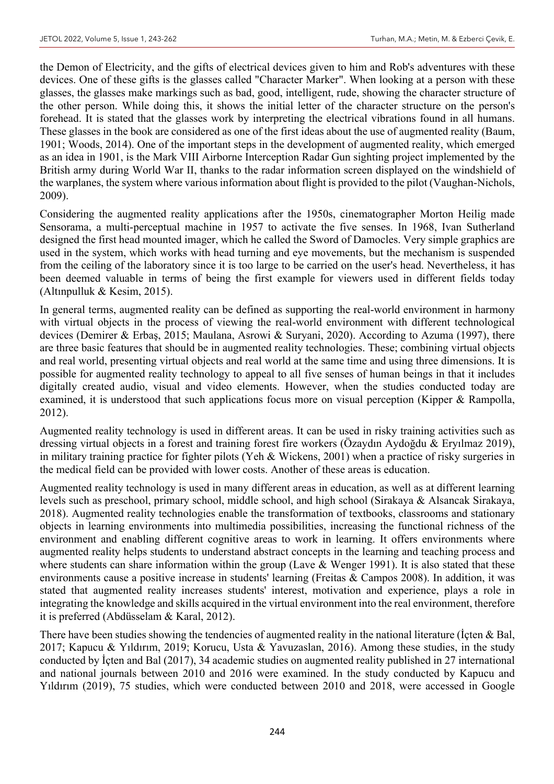the Demon of Electricity, and the gifts of electrical devices given to him and Rob's adventures with these devices. One of these gifts is the glasses called "Character Marker". When looking at a person with these glasses, the glasses make markings such as bad, good, intelligent, rude, showing the character structure of the other person. While doing this, it shows the initial letter of the character structure on the person's forehead. It is stated that the glasses work by interpreting the electrical vibrations found in all humans. These glasses in the book are considered as one of the first ideas about the use of augmented reality (Baum, 1901; Woods, 2014). One of the important steps in the development of augmented reality, which emerged as an idea in 1901, is the Mark VIII Airborne Interception Radar Gun sighting project implemented by the British army during World War II, thanks to the radar information screen displayed on the windshield of the warplanes, the system where various information about flight is provided to the pilot (Vaughan-Nichols, 2009).

Considering the augmented reality applications after the 1950s, cinematographer Morton Heilig made Sensorama, a multi-perceptual machine in 1957 to activate the five senses. In 1968, Ivan Sutherland designed the first head mounted imager, which he called the Sword of Damocles. Very simple graphics are used in the system, which works with head turning and eye movements, but the mechanism is suspended from the ceiling of the laboratory since it is too large to be carried on the user's head. Nevertheless, it has been deemed valuable in terms of being the first example for viewers used in different fields today (Altınpulluk & Kesim, 2015).

In general terms, augmented reality can be defined as supporting the real-world environment in harmony with virtual objects in the process of viewing the real-world environment with different technological devices (Demirer & Erbaş, 2015; Maulana, Asrowi & Suryani, 2020). According to Azuma (1997), there are three basic features that should be in augmented reality technologies. These; combining virtual objects and real world, presenting virtual objects and real world at the same time and using three dimensions. It is possible for augmented reality technology to appeal to all five senses of human beings in that it includes digitally created audio, visual and video elements. However, when the studies conducted today are examined, it is understood that such applications focus more on visual perception (Kipper & Rampolla, 2012).

Augmented reality technology is used in different areas. It can be used in risky training activities such as dressing virtual objects in a forest and training forest fire workers (Özaydın Aydoğdu & Eryılmaz 2019), in military training practice for fighter pilots (Yeh & Wickens, 2001) when a practice of risky surgeries in the medical field can be provided with lower costs. Another of these areas is education.

Augmented reality technology is used in many different areas in education, as well as at different learning levels such as preschool, primary school, middle school, and high school (Sirakaya & Alsancak Sirakaya, 2018). Augmented reality technologies enable the transformation of textbooks, classrooms and stationary objects in learning environments into multimedia possibilities, increasing the functional richness of the environment and enabling different cognitive areas to work in learning. It offers environments where augmented reality helps students to understand abstract concepts in the learning and teaching process and where students can share information within the group (Lave & Wenger 1991). It is also stated that these environments cause a positive increase in students' learning (Freitas & Campos 2008). In addition, it was stated that augmented reality increases students' interest, motivation and experience, plays a role in integrating the knowledge and skills acquired in the virtual environment into the real environment, therefore it is preferred (Abdüsselam & Karal, 2012).

There have been studies showing the tendencies of augmented reality in the national literature (İçten & Bal, 2017; Kapucu & Yıldırım, 2019; Korucu, Usta & Yavuzaslan, 2016). Among these studies, in the study conducted by İçten and Bal (2017), 34 academic studies on augmented reality published in 27 international and national journals between 2010 and 2016 were examined. In the study conducted by Kapucu and Yıldırım (2019), 75 studies, which were conducted between 2010 and 2018, were accessed in Google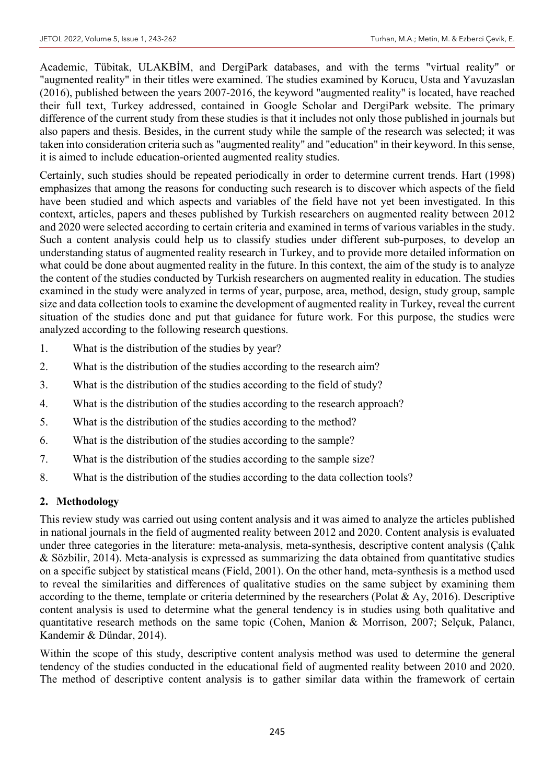Academic, Tübitak, ULAKBİM, and DergiPark databases, and with the terms "virtual reality" or "augmented reality" in their titles were examined. The studies examined by Korucu, Usta and Yavuzaslan (2016), published between the years 2007-2016, the keyword "augmented reality" is located, have reached their full text, Turkey addressed, contained in Google Scholar and DergiPark website. The primary difference of the current study from these studies is that it includes not only those published in journals but also papers and thesis. Besides, in the current study while the sample of the research was selected; it was taken into consideration criteria such as "augmented reality" and "education" in their keyword. In this sense, it is aimed to include education-oriented augmented reality studies.

Certainly, such studies should be repeated periodically in order to determine current trends. Hart (1998) emphasizes that among the reasons for conducting such research is to discover which aspects of the field have been studied and which aspects and variables of the field have not yet been investigated. In this context, articles, papers and theses published by Turkish researchers on augmented reality between 2012 and 2020 were selected according to certain criteria and examined in terms of various variables in the study. Such a content analysis could help us to classify studies under different sub-purposes, to develop an understanding status of augmented reality research in Turkey, and to provide more detailed information on what could be done about augmented reality in the future. In this context, the aim of the study is to analyze the content of the studies conducted by Turkish researchers on augmented reality in education. The studies examined in the study were analyzed in terms of year, purpose, area, method, design, study group, sample size and data collection tools to examine the development of augmented reality in Turkey, reveal the current situation of the studies done and put that guidance for future work. For this purpose, the studies were analyzed according to the following research questions.

- 1. What is the distribution of the studies by year?
- 2. What is the distribution of the studies according to the research aim?
- 3. What is the distribution of the studies according to the field of study?
- 4. What is the distribution of the studies according to the research approach?
- 5. What is the distribution of the studies according to the method?
- 6. What is the distribution of the studies according to the sample?
- 7. What is the distribution of the studies according to the sample size?
- 8. What is the distribution of the studies according to the data collection tools?

# **2. Methodology**

This review study was carried out using content analysis and it was aimed to analyze the articles published in national journals in the field of augmented reality between 2012 and 2020. Content analysis is evaluated under three categories in the literature: meta-analysis, meta-synthesis, descriptive content analysis (Çalık & Sözbilir, 2014). Meta-analysis is expressed as summarizing the data obtained from quantitative studies on a specific subject by statistical means (Field, 2001). On the other hand, meta-synthesis is a method used to reveal the similarities and differences of qualitative studies on the same subject by examining them according to the theme, template or criteria determined by the researchers (Polat & Ay, 2016). Descriptive content analysis is used to determine what the general tendency is in studies using both qualitative and quantitative research methods on the same topic (Cohen, Manion & Morrison, 2007; Selçuk, Palancı, Kandemir & Dündar, 2014).

Within the scope of this study, descriptive content analysis method was used to determine the general tendency of the studies conducted in the educational field of augmented reality between 2010 and 2020. The method of descriptive content analysis is to gather similar data within the framework of certain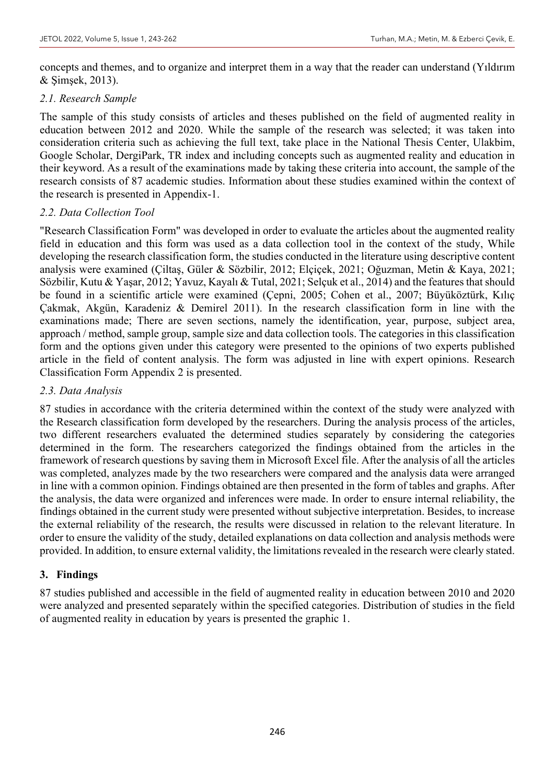concepts and themes, and to organize and interpret them in a way that the reader can understand (Yıldırım & Şimşek, 2013).

# *2.1. Research Sample*

The sample of this study consists of articles and theses published on the field of augmented reality in education between 2012 and 2020. While the sample of the research was selected; it was taken into consideration criteria such as achieving the full text, take place in the National Thesis Center, Ulakbim, Google Scholar, DergiPark, TR index and including concepts such as augmented reality and education in their keyword. As a result of the examinations made by taking these criteria into account, the sample of the research consists of 87 academic studies. Information about these studies examined within the context of the research is presented in Appendix-1.

### *2.2. Data Collection Tool*

"Research Classification Form" was developed in order to evaluate the articles about the augmented reality field in education and this form was used as a data collection tool in the context of the study, While developing the research classification form, the studies conducted in the literature using descriptive content analysis were examined (Çiltaş, Güler & Sözbilir, 2012; Elçiçek, 2021; Oğuzman, Metin & Kaya, 2021; Sözbilir, Kutu & Yaşar, 2012; Yavuz, Kayalı & Tutal, 2021; Selçuk et al., 2014) and the features that should be found in a scientific article were examined (Çepni, 2005; Cohen et al., 2007; Büyüköztürk, Kılıç Çakmak, Akgün, Karadeniz & Demirel 2011). In the research classification form in line with the examinations made; There are seven sections, namely the identification, year, purpose, subject area, approach / method, sample group, sample size and data collection tools. The categories in this classification form and the options given under this category were presented to the opinions of two experts published article in the field of content analysis. The form was adjusted in line with expert opinions. Research Classification Form Appendix 2 is presented.

#### *2.3. Data Analysis*

87 studies in accordance with the criteria determined within the context of the study were analyzed with the Research classification form developed by the researchers. During the analysis process of the articles, two different researchers evaluated the determined studies separately by considering the categories determined in the form. The researchers categorized the findings obtained from the articles in the framework of research questions by saving them in Microsoft Excel file. After the analysis of all the articles was completed, analyzes made by the two researchers were compared and the analysis data were arranged in line with a common opinion. Findings obtained are then presented in the form of tables and graphs. After the analysis, the data were organized and inferences were made. In order to ensure internal reliability, the findings obtained in the current study were presented without subjective interpretation. Besides, to increase the external reliability of the research, the results were discussed in relation to the relevant literature. In order to ensure the validity of the study, detailed explanations on data collection and analysis methods were provided. In addition, to ensure external validity, the limitations revealed in the research were clearly stated.

# **3. Findings**

87 studies published and accessible in the field of augmented reality in education between 2010 and 2020 were analyzed and presented separately within the specified categories. Distribution of studies in the field of augmented reality in education by years is presented the graphic 1.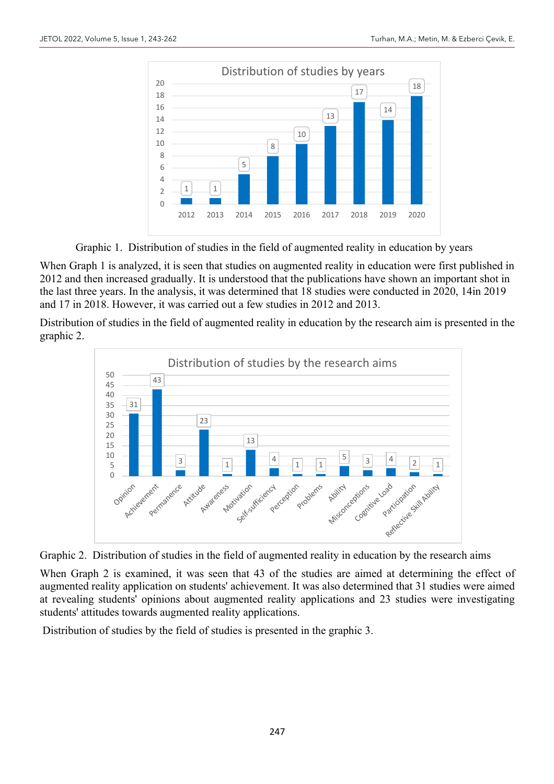

Graphic 1. Distribution of studies in the field of augmented reality in education by years

When Graph 1 is analyzed, it is seen that studies on augmented reality in education were first published in 2012 and then increased gradually. It is understood that the publications have shown an important shot in the last three years. In the analysis, it was determined that 18 studies were conducted in 2020, 14in 2019 and 17 in 2018. However, it was carried out a few studies in 2012 and 2013.

Distribution of studies in the field of augmented reality in education by the research aim is presented in the graphic 2.



Graphic 2. Distribution of studies in the field of augmented reality in education by the research aims

When Graph 2 is examined, it was seen that 43 of the studies are aimed at determining the effect of augmented reality application on students' achievement. It was also determined that 31 studies were aimed at revealing students' opinions about augmented reality applications and 23 studies were investigating students' attitudes towards augmented reality applications.

Distribution of studies by the field of studies is presented in the graphic 3.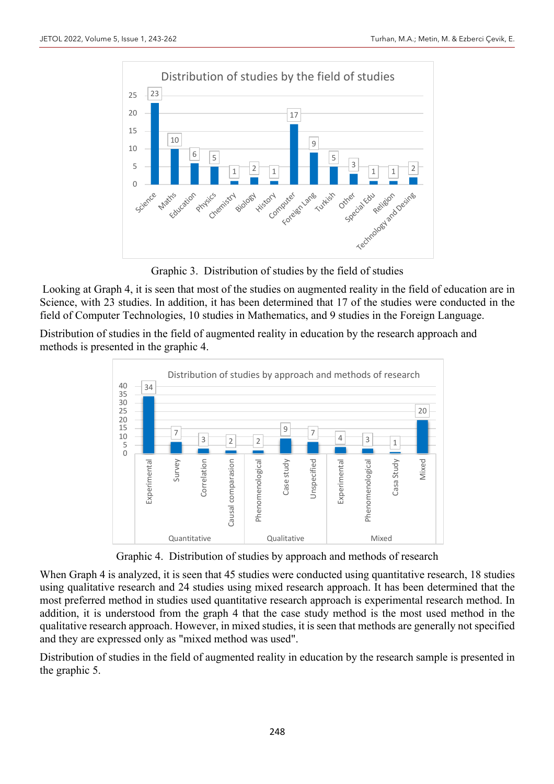

Graphic 3. Distribution of studies by the field of studies

Looking at Graph 4, it is seen that most of the studies on augmented reality in the field of education are in Science, with 23 studies. In addition, it has been determined that 17 of the studies were conducted in the field of Computer Technologies, 10 studies in Mathematics, and 9 studies in the Foreign Language.

Distribution of studies in the field of augmented reality in education by the research approach and methods is presented in the graphic 4.



Graphic 4. Distribution of studies by approach and methods of research

When Graph 4 is analyzed, it is seen that 45 studies were conducted using quantitative research, 18 studies using qualitative research and 24 studies using mixed research approach. It has been determined that the most preferred method in studies used quantitative research approach is experimental research method. In addition, it is understood from the graph 4 that the case study method is the most used method in the qualitative research approach. However, in mixed studies, it is seen that methods are generally not specified and they are expressed only as "mixed method was used".

Distribution of studies in the field of augmented reality in education by the research sample is presented in the graphic 5.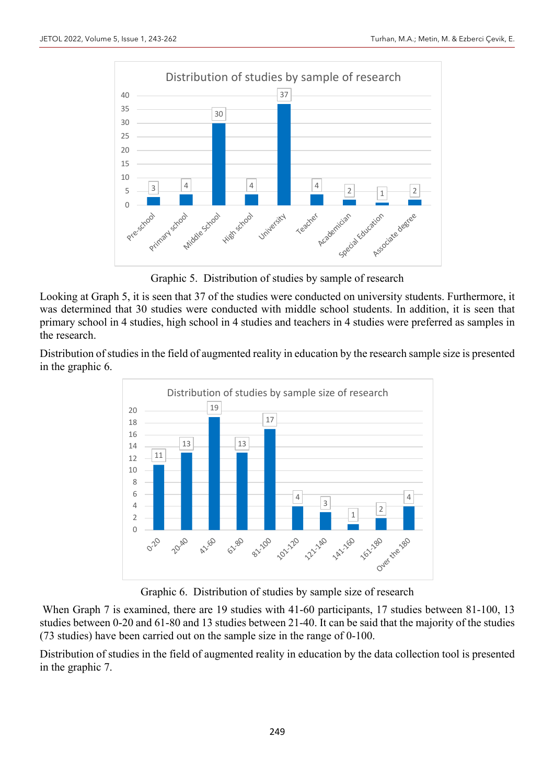

Graphic 5. Distribution of studies by sample of research

Looking at Graph 5, it is seen that 37 of the studies were conducted on university students. Furthermore, it was determined that 30 studies were conducted with middle school students. In addition, it is seen that primary school in 4 studies, high school in 4 studies and teachers in 4 studies were preferred as samples in the research.

Distribution of studies in the field of augmented reality in education by the research sample size is presented in the graphic 6.



Graphic 6. Distribution of studies by sample size of research

When Graph 7 is examined, there are 19 studies with 41-60 participants, 17 studies between 81-100, 13 studies between 0-20 and 61-80 and 13 studies between 21-40. It can be said that the majority of the studies (73 studies) have been carried out on the sample size in the range of 0-100.

Distribution of studies in the field of augmented reality in education by the data collection tool is presented in the graphic 7.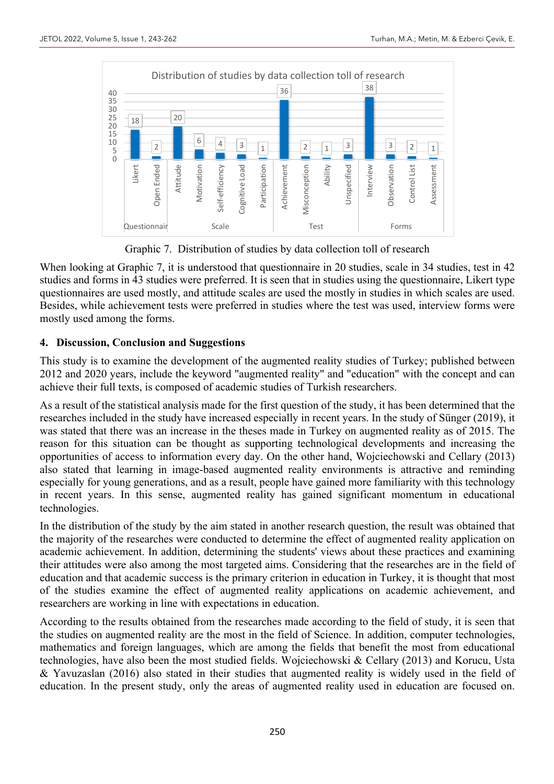

Graphic 7. Distribution of studies by data collection toll of research

When looking at Graphic 7, it is understood that questionnaire in 20 studies, scale in 34 studies, test in 42 studies and forms in 43 studies were preferred. It is seen that in studies using the questionnaire, Likert type questionnaires are used mostly, and attitude scales are used the mostly in studies in which scales are used. Besides, while achievement tests were preferred in studies where the test was used, interview forms were mostly used among the forms.

# **4. Discussion, Conclusion and Suggestions**

This study is to examine the development of the augmented reality studies of Turkey; published between 2012 and 2020 years, include the keyword "augmented reality" and "education" with the concept and can achieve their full texts, is composed of academic studies of Turkish researchers.

As a result of the statistical analysis made for the first question of the study, it has been determined that the researches included in the study have increased especially in recent years. In the study of Sünger (2019), it was stated that there was an increase in the theses made in Turkey on augmented reality as of 2015. The reason for this situation can be thought as supporting technological developments and increasing the opportunities of access to information every day. On the other hand, Wojciechowski and Cellary (2013) also stated that learning in image-based augmented reality environments is attractive and reminding especially for young generations, and as a result, people have gained more familiarity with this technology in recent years. In this sense, augmented reality has gained significant momentum in educational technologies.

In the distribution of the study by the aim stated in another research question, the result was obtained that the majority of the researches were conducted to determine the effect of augmented reality application on academic achievement. In addition, determining the students' views about these practices and examining their attitudes were also among the most targeted aims. Considering that the researches are in the field of education and that academic success is the primary criterion in education in Turkey, it is thought that most of the studies examine the effect of augmented reality applications on academic achievement, and researchers are working in line with expectations in education.

According to the results obtained from the researches made according to the field of study, it is seen that the studies on augmented reality are the most in the field of Science. In addition, computer technologies, mathematics and foreign languages, which are among the fields that benefit the most from educational technologies, have also been the most studied fields. Wojciechowski & Cellary (2013) and Korucu, Usta & Yavuzaslan (2016) also stated in their studies that augmented reality is widely used in the field of education. In the present study, only the areas of augmented reality used in education are focused on.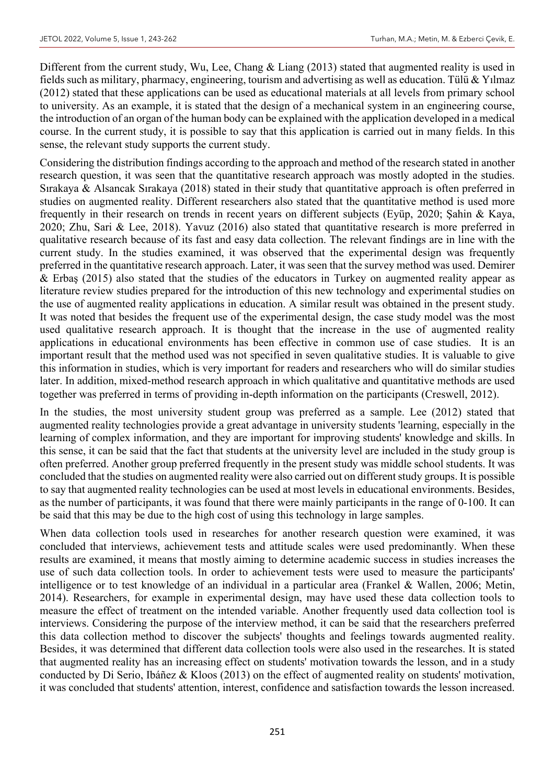Different from the current study, Wu, Lee, Chang & Liang (2013) stated that augmented reality is used in fields such as military, pharmacy, engineering, tourism and advertising as well as education. Tülü & Yılmaz (2012) stated that these applications can be used as educational materials at all levels from primary school to university. As an example, it is stated that the design of a mechanical system in an engineering course, the introduction of an organ of the human body can be explained with the application developed in a medical course. In the current study, it is possible to say that this application is carried out in many fields. In this sense, the relevant study supports the current study.

Considering the distribution findings according to the approach and method of the research stated in another research question, it was seen that the quantitative research approach was mostly adopted in the studies. Sırakaya & Alsancak Sırakaya (2018) stated in their study that quantitative approach is often preferred in studies on augmented reality. Different researchers also stated that the quantitative method is used more frequently in their research on trends in recent years on different subjects (Eyüp, 2020; Şahin & Kaya, 2020; Zhu, Sari & Lee, 2018). Yavuz (2016) also stated that quantitative research is more preferred in qualitative research because of its fast and easy data collection. The relevant findings are in line with the current study. In the studies examined, it was observed that the experimental design was frequently preferred in the quantitative research approach. Later, it was seen that the survey method was used. Demirer & Erbaş (2015) also stated that the studies of the educators in Turkey on augmented reality appear as literature review studies prepared for the introduction of this new technology and experimental studies on the use of augmented reality applications in education. A similar result was obtained in the present study. It was noted that besides the frequent use of the experimental design, the case study model was the most used qualitative research approach. It is thought that the increase in the use of augmented reality applications in educational environments has been effective in common use of case studies. It is an important result that the method used was not specified in seven qualitative studies. It is valuable to give this information in studies, which is very important for readers and researchers who will do similar studies later. In addition, mixed-method research approach in which qualitative and quantitative methods are used together was preferred in terms of providing in-depth information on the participants (Creswell, 2012).

In the studies, the most university student group was preferred as a sample. Lee (2012) stated that augmented reality technologies provide a great advantage in university students 'learning, especially in the learning of complex information, and they are important for improving students' knowledge and skills. In this sense, it can be said that the fact that students at the university level are included in the study group is often preferred. Another group preferred frequently in the present study was middle school students. It was concluded that the studies on augmented reality were also carried out on different study groups. It is possible to say that augmented reality technologies can be used at most levels in educational environments. Besides, as the number of participants, it was found that there were mainly participants in the range of 0-100. It can be said that this may be due to the high cost of using this technology in large samples.

When data collection tools used in researches for another research question were examined, it was concluded that interviews, achievement tests and attitude scales were used predominantly. When these results are examined, it means that mostly aiming to determine academic success in studies increases the use of such data collection tools. In order to achievement tests were used to measure the participants' intelligence or to test knowledge of an individual in a particular area (Frankel & Wallen, 2006; Metin, 2014). Researchers, for example in experimental design, may have used these data collection tools to measure the effect of treatment on the intended variable. Another frequently used data collection tool is interviews. Considering the purpose of the interview method, it can be said that the researchers preferred this data collection method to discover the subjects' thoughts and feelings towards augmented reality. Besides, it was determined that different data collection tools were also used in the researches. It is stated that augmented reality has an increasing effect on students' motivation towards the lesson, and in a study conducted by Di Serio, Ibáñez & Kloos (2013) on the effect of augmented reality on students' motivation, it was concluded that students' attention, interest, confidence and satisfaction towards the lesson increased.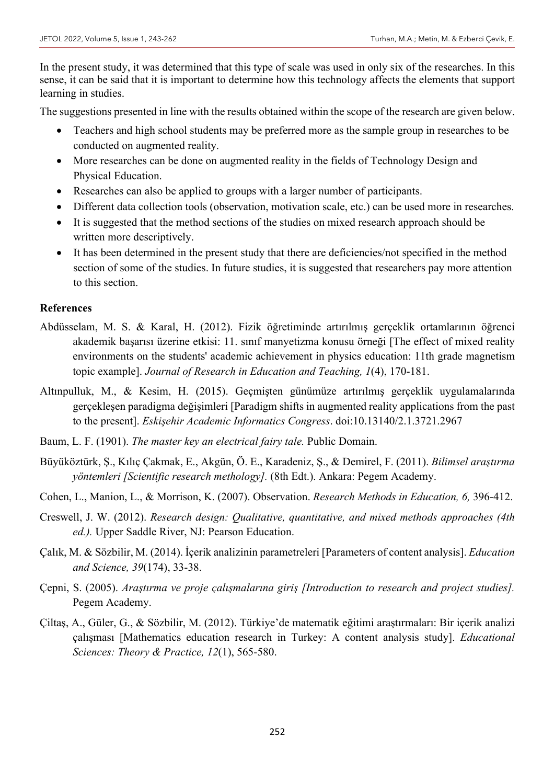In the present study, it was determined that this type of scale was used in only six of the researches. In this sense, it can be said that it is important to determine how this technology affects the elements that support learning in studies.

The suggestions presented in line with the results obtained within the scope of the research are given below.

- Teachers and high school students may be preferred more as the sample group in researches to be conducted on augmented reality.
- More researches can be done on augmented reality in the fields of Technology Design and Physical Education.
- Researches can also be applied to groups with a larger number of participants.
- Different data collection tools (observation, motivation scale, etc.) can be used more in researches.
- It is suggested that the method sections of the studies on mixed research approach should be written more descriptively.
- It has been determined in the present study that there are deficiencies/not specified in the method section of some of the studies. In future studies, it is suggested that researchers pay more attention to this section.

#### **References**

- Abdüsselam, M. S. & Karal, H. (2012). Fizik öğretiminde artırılmış gerçeklik ortamlarının öğrenci akademik başarısı üzerine etkisi: 11. sınıf manyetizma konusu örneği [The effect of mixed reality environments on the students' academic achievement in physics education: 11th grade magnetism topic example]. *Journal of Research in Education and Teaching, 1*(4), 170-181.
- Altınpulluk, M., & Kesim, H. (2015). Geçmişten günümüze artırılmış gerçeklik uygulamalarında gerçekleşen paradigma değişimleri [Paradigm shifts in augmented reality applications from the past to the present]. *Eskişehir Academic Informatics Congress*. doi:10.13140/2.1.3721.2967
- Baum, L. F. (1901). *The master key an electrical fairy tale.* Public Domain.
- Büyüköztürk, Ş., Kılıç Çakmak, E., Akgün, Ö. E., Karadeniz, Ş., & Demirel, F. (2011). *Bilimsel araştırma yöntemleri [Scientific research methology].* (8th Edt.). Ankara: Pegem Academy.
- Cohen, L., Manion, L., & Morrison, K. (2007). Observation. *Research Methods in Education, 6,* 396-412.
- Creswell, J. W. (2012). *Research design: Qualitative, quantitative, and mixed methods approaches (4th ed.).* Upper Saddle River, NJ: Pearson Education.
- Çalık, M. & Sözbilir, M. (2014). İçerik analizinin parametreleri [Parameters of content analysis]. *Education and Science, 39*(174), 33-38.
- Çepni, S. (2005). *Araştırma ve proje çalışmalarına giriş [Introduction to research and project studies].* Pegem Academy.
- Çiltaş, A., Güler, G., & Sözbilir, M. (2012). Türkiye'de matematik eğitimi araştırmaları: Bir içerik analizi çalışması [Mathematics education research in Turkey: A content analysis study]. *Educational Sciences: Theory & Practice, 12*(1), 565-580.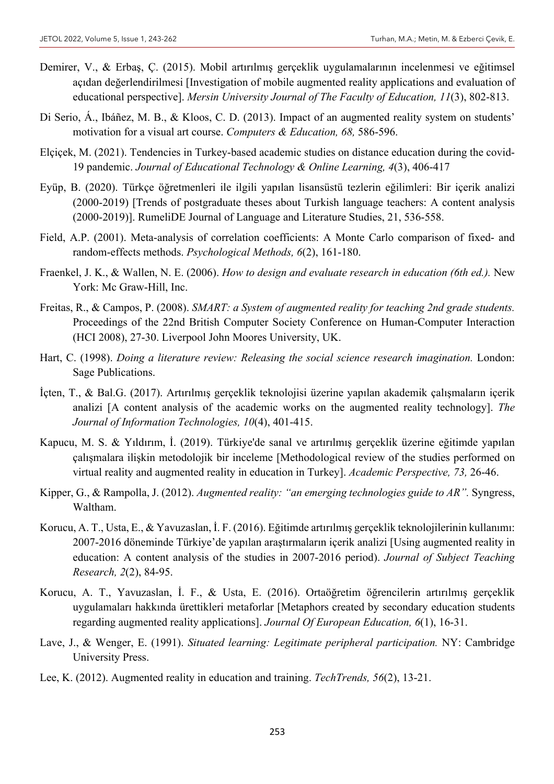- Demirer, V., & Erbaş, Ç. (2015). Mobil artırılmış gerçeklik uygulamalarının incelenmesi ve eğitimsel açıdan değerlendirilmesi [Investigation of mobile augmented reality applications and evaluation of educational perspective]. *Mersin University Journal of The Faculty of Education, 11*(3), 802-813.
- Di Serio, Á., Ibáñez, M. B., & Kloos, C. D. (2013). Impact of an augmented reality system on students' motivation for a visual art course. *Computers & Education, 68,* 586-596.
- Elçiçek, M. (2021). Tendencies in Turkey-based academic studies on distance education during the covid-19 pandemic. *Journal of Educational Technology & Online Learning, 4*(3), 406-417
- Eyüp, B. (2020). Türkçe öğretmenleri ile ilgili yapılan lisansüstü tezlerin eğilimleri: Bir içerik analizi (2000-2019) [Trends of postgraduate theses about Turkish language teachers: A content analysis (2000-2019)]. RumeliDE Journal of Language and Literature Studies, 21, 536-558.
- Field, A.P. (2001). Meta-analysis of correlation coefficients: A Monte Carlo comparison of fixed- and random-effects methods. *Psychological Methods, 6*(2), 161-180.
- Fraenkel, J. K., & Wallen, N. E. (2006). *How to design and evaluate research in education (6th ed.).* New York: Mc Graw-Hill, Inc.
- Freitas, R., & Campos, P. (2008). *SMART: a System of augmented reality for teaching 2nd grade students.* Proceedings of the 22nd British Computer Society Conference on Human-Computer Interaction (HCI 2008), 27-30. Liverpool John Moores University, UK.
- Hart, C. (1998). *Doing a literature review: Releasing the social science research imagination.* London: Sage Publications.
- İçten, T., & Bal.G. (2017). Artırılmış gerçeklik teknolojisi üzerine yapılan akademik çalışmaların içerik analizi [A content analysis of the academic works on the augmented reality technology]. *The Journal of Information Technologies, 10*(4), 401-415.
- Kapucu, M. S. & Yıldırım, İ. (2019). Türkiye'de sanal ve artırılmış gerçeklik üzerine eğitimde yapılan çalışmalara ilişkin metodolojik bir inceleme [Methodological review of the studies performed on virtual reality and augmented reality in education in Turkey]. *Academic Perspective, 73,* 26-46.
- Kipper, G., & Rampolla, J. (2012). *Augmented reality: "an emerging technologies guide to AR".* Syngress, Waltham.
- Korucu, A. T., Usta, E., & Yavuzaslan, İ. F. (2016). Eğitimde artırılmış gerçeklik teknolojilerinin kullanımı: 2007-2016 döneminde Türkiye'de yapılan araştırmaların içerik analizi [Using augmented reality in education: A content analysis of the studies in 2007-2016 period). *Journal of Subject Teaching Research, 2*(2), 84-95.
- Korucu, A. T., Yavuzaslan, İ. F., & Usta, E. (2016). Ortaöğretim öğrencilerin artırılmış gerçeklik uygulamaları hakkında ürettikleri metaforlar [Metaphors created by secondary education students regarding augmented reality applications]. *Journal Of European Education, 6*(1), 16-31.
- Lave, J., & Wenger, E. (1991). *Situated learning: Legitimate peripheral participation.* NY: Cambridge University Press.
- Lee, K. (2012). Augmented reality in education and training. *TechTrends, 56*(2), 13-21.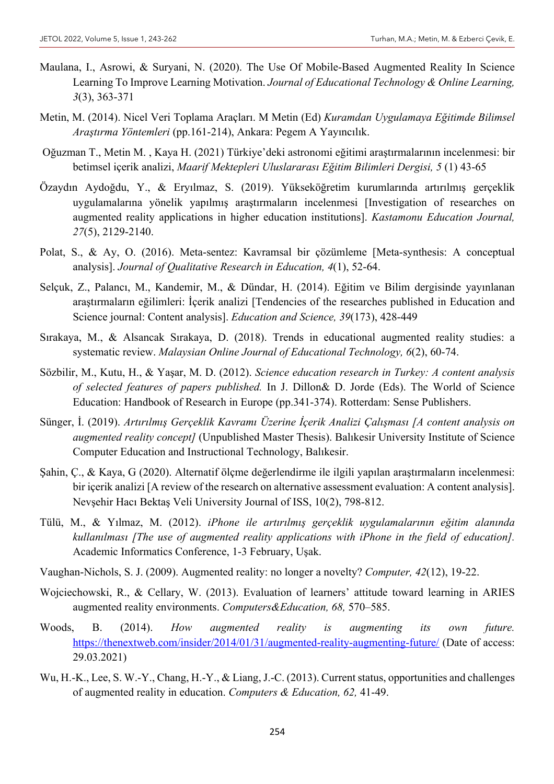- Maulana, I., Asrowi, & Suryani, N. (2020). The Use Of Mobile-Based Augmented Reality In Science Learning To Improve Learning Motivation. *Journal of Educational Technology & Online Learning, 3*(3), 363-371
- Metin, M. (2014). Nicel Veri Toplama Araçları. M Metin (Ed) *Kuramdan Uygulamaya Eğitimde Bilimsel Araştırma Yöntemleri* (pp.161-214), Ankara: Pegem A Yayıncılık.
- Oğuzman T., Metin M. , Kaya H. (2021) Türkiye'deki astronomi eğitimi araştırmalarının incelenmesi: bir betimsel içerik analizi, *Maarif Mektepleri Uluslararası Eğitim Bilimleri Dergisi, 5* (1) 43-65
- Özaydın Aydoğdu, Y., & Eryılmaz, S. (2019). Yükseköğretim kurumlarında artırılmış gerçeklik uygulamalarına yönelik yapılmış araştırmaların incelenmesi [Investigation of researches on augmented reality applications in higher education institutions]. *Kastamonu Education Journal, 27*(5), 2129-2140.
- Polat, S., & Ay, O. (2016). Meta-sentez: Kavramsal bir çözümleme [Meta-synthesis: A conceptual analysis]. *Journal of Qualitative Research in Education, 4*(1), 52-64.
- Selçuk, Z., Palancı, M., Kandemir, M., & Dündar, H. (2014). Eğitim ve Bilim dergisinde yayınlanan araştırmaların eğilimleri: İçerik analizi [Tendencies of the researches published in Education and Science journal: Content analysis]. *Education and Science, 39*(173), 428-449
- Sırakaya, M., & Alsancak Sırakaya, D. (2018). Trends in educational augmented reality studies: a systematic review. *Malaysian Online Journal of Educational Technology, 6*(2), 60-74.
- Sözbilir, M., Kutu, H., & Yaşar, M. D. (2012). *Science education research in Turkey: A content analysis of selected features of papers published.* In J. Dillon& D. Jorde (Eds). The World of Science Education: Handbook of Research in Europe (pp.341-374). Rotterdam: Sense Publishers.
- Sünger, İ. (2019). *Artırılmış Gerçeklik Kavramı Üzerine İçerik Analizi Çalışması [A content analysis on augmented reality concept]* (Unpublished Master Thesis). Balıkesir University Institute of Science Computer Education and Instructional Technology, Balıkesir.
- Şahin, Ç., & Kaya, G (2020). Alternatif ölçme değerlendirme ile ilgili yapılan araştırmaların incelenmesi: bir içerik analizi [A review of the research on alternative assessment evaluation: A content analysis]. Nevşehir Hacı Bektaş Veli University Journal of ISS, 10(2), 798-812.
- Tülü, M., & Yılmaz, M. (2012). *iPhone ile artırılmış gerçeklik uygulamalarının eğitim alanında kullanılması [The use of augmented reality applications with iPhone in the field of education].* Academic Informatics Conference, 1-3 February, Uşak.
- Vaughan-Nichols, S. J. (2009). Augmented reality: no longer a novelty? *Computer, 42*(12), 19-22.
- Wojciechowski, R., & Cellary, W. (2013). Evaluation of learners' attitude toward learning in ARIES augmented reality environments. *Computers&Education, 68,* 570–585.
- Woods, B. (2014). *How augmented reality is augmenting its own future.* https://thenextweb.com/insider/2014/01/31/augmented-reality-augmenting-future/ (Date of access: 29.03.2021)
- Wu, H.-K., Lee, S. W.-Y., Chang, H.-Y., & Liang, J.-C. (2013). Current status, opportunities and challenges of augmented reality in education. *Computers & Education, 62,* 41-49.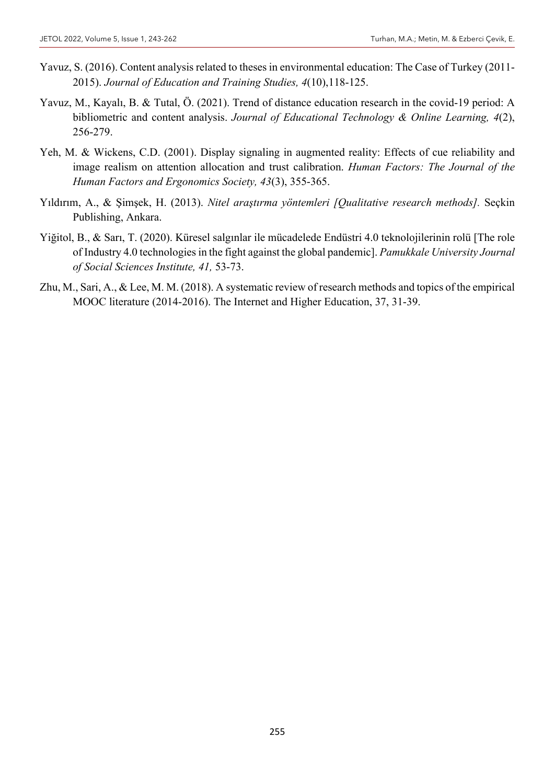- Yavuz, S. (2016). Content analysis related to theses in environmental education: The Case of Turkey (2011- 2015). *Journal of Education and Training Studies, 4*(10),118-125.
- Yavuz, M., Kayalı, B. & Tutal, Ö. (2021). Trend of distance education research in the covid-19 period: A bibliometric and content analysis. *Journal of Educational Technology & Online Learning, 4*(2), 256-279.
- Yeh, M. & Wickens, C.D. (2001). Display signaling in augmented reality: Effects of cue reliability and image realism on attention allocation and trust calibration. *Human Factors: The Journal of the Human Factors and Ergonomics Society, 43*(3), 355-365.
- Yıldırım, A., & Şimşek, H. (2013). *Nitel araştırma yöntemleri [Qualitative research methods].* Seçkin Publishing, Ankara.
- Yiğitol, B., & Sarı, T. (2020). Küresel salgınlar ile mücadelede Endüstri 4.0 teknolojilerinin rolü [The role of Industry 4.0 technologies in the fight against the global pandemic]. *Pamukkale University Journal of Social Sciences Institute, 41,* 53-73.
- Zhu, M., Sari, A., & Lee, M. M. (2018). A systematic review of research methods and topics of the empirical MOOC literature (2014-2016). The Internet and Higher Education, 37, 31-39.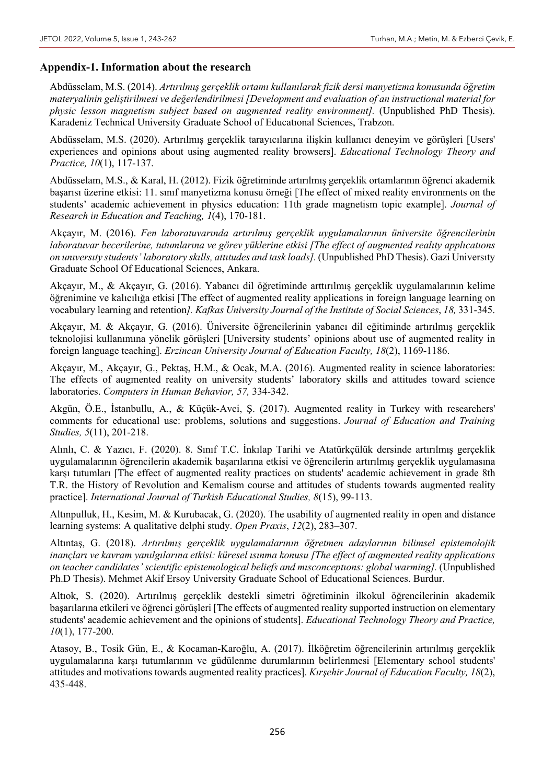#### **Appendix-1. Information about the research**

Abdüsselam, M.S. (2014). *Artırılmış gerçeklik ortamı kullanılarak fizik dersi manyetizma konusunda öğretim materyalinin geliştirilmesi ve değerlendirilmesi [Development and evaluation of an instructional material for physic lesson magnetism subject based on augmented reality environment].* (Unpublished PhD Thesis). Karadeniz Technical University Graduate School of Educatıonal Sciences, Trabzon.

Abdüsselam, M.S. (2020). Artırılmış gerçeklik tarayıcılarına ilişkin kullanıcı deneyim ve görüşleri [Users' experiences and opinions about using augmented reality browsers]. *Educational Technology Theory and Practice, 10*(1), 117-137.

Abdüsselam, M.S., & Karal, H. (2012). Fizik öğretiminde artırılmış gerçeklik ortamlarının öğrenci akademik başarısı üzerine etkisi: 11. sınıf manyetizma konusu örneği [The effect of mixed reality environments on the students' academic achievement in physics education: 11th grade magnetism topic example]. *Journal of Research in Education and Teaching, 1*(4), 170-181.

Akçayır, M. (2016). *Fen laboratuvarında artırılmış gerçeklik uygulamalarının üniversite öğrencilerinin laboratuvar becerilerine, tutumlarına ve görev yüklerine etkisi [The effect of augmented realıty applıcatıons on unıversıty students' laboratory skılls, attıtudes and task loads].* (Unpublished PhD Thesis). Gazi Universıty Graduate School Of Educational Sciences, Ankara.

Akçayır, M., & Akçayır, G. (2016). Yabancı dil öğretiminde arttırılmış gerçeklik uygulamalarının kelime öğrenimine ve kalıcılığa etkisi [The effect of augmented reality applications in foreign language learning on vocabulary learning and retention*]. Kafkas University Journal of the Institute of Social Sciences*, *18,* 331-345.

Akçayır, M. & Akçayır, G. (2016). Üniversite öğrencilerinin yabancı dil eğitiminde artırılmış gerçeklik teknolojisi kullanımına yönelik görüşleri [University students' opinions about use of augmented reality in foreign language teaching]. *Erzincan University Journal of Education Faculty, 18*(2), 1169-1186.

Akçayır, M., Akçayır, G., Pektaş, H.M., & Ocak, M.A. (2016). Augmented reality in science laboratories: The effects of augmented reality on university students' laboratory skills and attitudes toward science laboratories. *Computers in Human Behavior, 57,* 334-342.

Akgün, Ö.E., İstanbullu, A., & Küçük-Avci, Ş. (2017). Augmented reality in Turkey with researchers' comments for educational use: problems, solutions and suggestions. *Journal of Education and Training Studies, 5*(11), 201-218.

Alınlı, C. & Yazıcı, F. (2020). 8. Sınıf T.C. İnkılap Tarihi ve Atatürkçülük dersinde artırılmış gerçeklik uygulamalarının öğrencilerin akademik başarılarına etkisi ve öğrencilerin artırılmış gerçeklik uygulamasına karşı tutumları [The effect of augmented reality practices on students' academic achievement in grade 8th T.R. the History of Revolution and Kemalism course and attitudes of students towards augmented reality practice]. *International Journal of Turkish Educational Studies, 8*(15), 99-113.

Altınpulluk, H., Kesim, M. & Kurubacak, G. (2020). The usability of augmented reality in open and distance learning systems: A qualitative delphi study. *Open Praxis*, *12*(2), 283–307.

Altıntaş, G. (2018). *Artırılmış gerçeklik uygulamalarının öğretmen adaylarının bilimsel epistemolojik inançları ve kavram yanılgılarına etkisi: küresel ısınma konusu [The effect of augmented reality applications on teacher candidates' scientific epistemological beliefs and mısconceptıons: global warming].* (Unpublished Ph.D Thesis). Mehmet Akif Ersoy University Graduate School of Educational Sciences. Burdur.

Altıok, S. (2020). Artırılmış gerçeklik destekli simetri öğretiminin ilkokul öğrencilerinin akademik başarılarına etkileri ve öğrenci görüşleri [The effects of augmented reality supported instruction on elementary students' academic achievement and the opinions of students]. *Educational Technology Theory and Practice, 10*(1), 177-200.

Atasoy, B., Tosik Gün, E., & Kocaman-Karoğlu, A. (2017). İlköğretim öğrencilerinin artırılmış gerçeklik uygulamalarına karşı tutumlarının ve güdülenme durumlarının belirlenmesi [Elementary school students' attitudes and motivations towards augmented reality practices]. *Kırşehir Journal of Education Faculty, 18*(2), 435-448.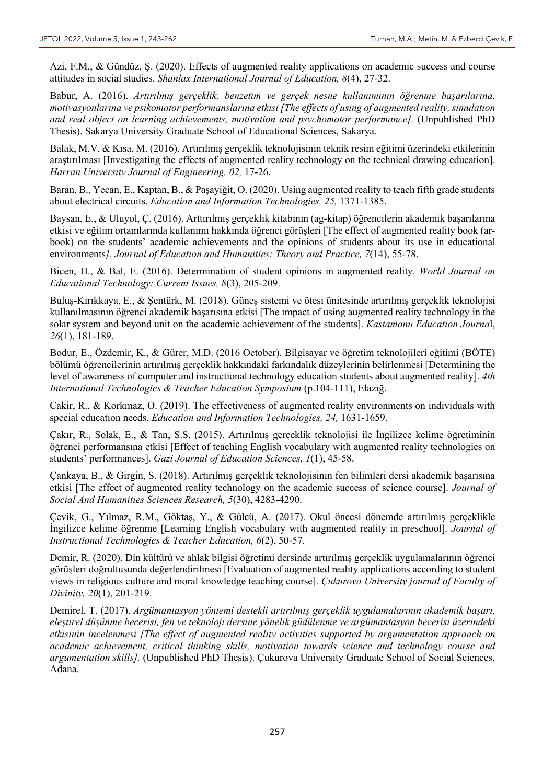Azi, F.M., & Gündüz, Ş. (2020). Effects of augmented reality applications on academic success and course attitudes in social studies. *Shanlax International Journal of Education, 8*(4), 27-32.

Babur, A. (2016). *Artırılmış gerçeklik, benzetim ve gerçek nesne kullanımının öğrenme başarılarına, motivasyonlarına ve psikomotor performanslarına etkisi [The effects of using of augmented reality, simulation and real object on learning achievements, motivation and psychomotor performance].* (Unpublished PhD Thesis). Sakarya University Graduate School of Educational Sciences, Sakarya.

Balak, M.V. & Kısa, M. (2016). Artırılmış gerçeklik teknolojisinin teknik resim eğitimi üzerindeki etkilerinin araştırılması [Investigating the effects of augmented reality technology on the technical drawing education]. *Harran University Journal of Engineering, 02,* 17-26.

Baran, B., Yecan, E., Kaptan, B., & Paşayiğit, O. (2020). Using augmented reality to teach fifth grade students about electrical circuits. *Education and Information Technologies, 25,* 1371-1385.

Baysan, E., & Uluyol, Ç. (2016). Arttırılmış gerçeklik kitabının (ag-kitap) öğrencilerin akademik başarılarına etkisi ve eğitim ortamlarında kullanımı hakkında öğrenci görüşleri [The effect of augmented reality book (arbook) on the students' academic achievements and the opinions of students about its use in educational environments*]. Journal of Education and Humanities: Theory and Practice, 7*(14), 55-78.

Bicen, H., & Bal, E. (2016). Determination of student opinions in augmented reality. *World Journal on Educational Technology: Current Issues, 8*(3), 205-209.

Buluş-Kırıkkaya, E., & Şentürk, M. (2018). Güneş sistemi ve ötesi ünitesinde artırılmış gerçeklik teknolojisi kullanılmasının öğrenci akademik başarısına etkisi [The ımpact of using augmented reality technology in the solar system and beyond unit on the academic achievement of the students]. *Kastamonu Education Journa*l, *26*(1), 181-189.

Bodur, E., Özdemir, K., & Gürer, M.D. (2016 October). Bilgisayar ve öğretim teknolojileri eğitimi (BÖTE) bölümü öğrencilerinin artırılmış gerçeklik hakkındaki farkındalık düzeylerinin belirlenmesi [Determining the level of awareness of computer and instructional technology education students about augmented reality]. *4th International Technologies & Teacher Education Symposium* (p.104-111), Elazığ.

Cakir, R., & Korkmaz, O. (2019). The effectiveness of augmented reality environments on individuals with special education needs. *Education and Information Technologies, 24,* 1631-1659.

Çakır, R., Solak, E., & Tan, S.S. (2015). Artırılmış gerçeklik teknolojisi ile İngilizce kelime öğretiminin öğrenci performansına etkisi [Effect of teaching English vocabulary with augmented reality technologies on students' performances]. *Gazi Journal of Education Sciences, 1*(1), 45-58.

Çankaya, B., & Girgin, S. (2018). Artırılmış gerçeklik teknolojisinin fen bilimleri dersi akademik başarısına etkisi [The effect of augmented reality technology on the academic success of science course]. *Journal of Social And Humanities Sciences Research, 5*(30), 4283-4290.

Çevik, G., Yılmaz, R.M., Göktaş, Y., & Gülcü, A. (2017). Okul öncesi dönemde artırılmış gerçeklikle İngilizce kelime öğrenme [Learning English vocabulary with augmented reality in preschool]. *Journal of Instructional Technologies & Teacher Education, 6*(2), 50-57.

Demir, R. (2020). Din kültürü ve ahlak bilgisi öğretimi dersinde artırılmış gerçeklik uygulamalarının öğrenci görüşleri doğrultusunda değerlendirilmesi [Evaluation of augmented reality applications according to student views in religious culture and moral knowledge teaching course]. *Çukurova University journal of Faculty of Divinity, 20*(1), 201-219.

Demirel, T. (2017). *Argümantasyon yöntemi destekli artırılmış gerçeklik uygulamalarının akademik başarı, eleştirel düşünme becerisi, fen ve teknoloji dersine yönelik güdülenme ve argümantasyon becerisi üzerindeki etkisinin incelenmesi [The effect of augmented reality activities supported by argumentation approach on academic achievement, critical thinking skills, motivation towards science and technology course and argumentation skills].* (Unpublished PhD Thesis). Çukurova University Graduate School of Social Sciences, Adana.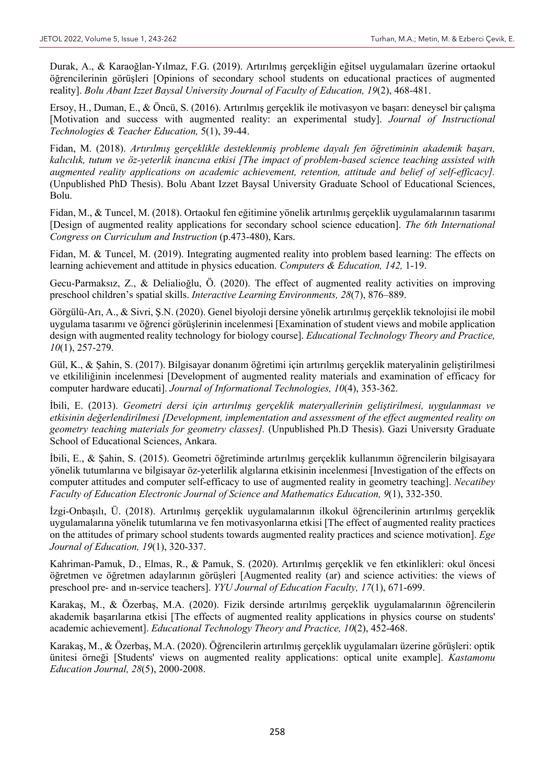Durak, A., & Karaoğlan-Yılmaz, F.G. (2019). Artırılmış gerçekliğin eğitsel uygulamaları üzerine ortaokul öğrencilerinin görüşleri [Opinions of secondary school students on educational practices of augmented reality]. *Bolu Abant Izzet Baysal University Journal of Faculty of Education, 19*(2), 468-481.

Ersoy, H., Duman, E., & Öncü, S. (2016). Artırılmış gerçeklik ile motivasyon ve başarı: deneysel bir çalışma [Motivation and success with augmented reality: an experimental study]. *Journal of Instructional Technologies & Teacher Education,* 5(1), 39-44.

Fidan, M. (2018). *Artırılmış gerçeklikle desteklenmiş probleme dayalı fen öğretiminin akademik başarı, kalıcılık, tutum ve öz-yeterlik inancına etkisi [The impact of problem-based science teaching assisted with augmented reality applications on academic achievement, retention, attitude and belief of self-efficacy].* (Unpublished PhD Thesis). Bolu Abant Izzet Baysal University Graduate School of Educational Sciences, Bolu.

Fidan, M., & Tuncel, M. (2018). Ortaokul fen eğitimine yönelik artırılmış gerçeklik uygulamalarının tasarımı [Design of augmented reality applications for secondary school science education]. *The 6th International Congress on Curriculum and Instruction* (p.473-480), Kars.

Fidan, M. & Tuncel, M. (2019). Integrating augmented reality into problem based learning: The effects on learning achievement and attitude in physics education. *Computers & Education, 142,* 1-19.

Gecu-Parmaksız, Z., & Delialioğlu, Ö. (2020). The effect of augmented reality activities on improving preschool children's spatial skills. *Interactive Learning Environments, 28*(7), 876–889.

Görgülü-Arı, A., & Sivri, Ş.N. (2020). Genel biyoloji dersine yönelik artırılmış gerçeklik teknolojisi ile mobil uygulama tasarımı ve öğrenci görüşlerinin incelenmesi [Examination of student views and mobile application design with augmented reality technology for biology course]. *Educational Technology Theory and Practice, 10*(1), 257-279.

Gül, K., & Şahin, S. (2017). Bilgisayar donanım öğretimi için artırılmış gerçeklik materyalinin geliştirilmesi ve etkililiğinin incelenmesi [Development of augmented reality materials and examination of efficacy for computer hardware educati]. *Journal of Informational Technologies, 10*(4), 353-362.

İbili, E. (2013). *Geometri dersi için artırılmış gerçeklik materyallerinin geliştirilmesi, uygulanması ve etkisinin değerlendirilmesi [Development, implementation and assessment of the effect augmented reality on geometry teaching materials for geometry classes].* (Unpublished Ph.D Thesis). Gazi Universıty Graduate School of Educational Sciences, Ankara.

İbili, E., & Şahin, S. (2015). Geometri öğretiminde artırılmış gerçeklik kullanımın öğrencilerin bilgisayara yönelik tutumlarına ve bilgisayar öz-yeterlilik algılarına etkisinin incelenmesi [Investigation of the effects on computer attitudes and computer self-efficacy to use of augmented reality in geometry teaching]. *Necatibey Faculty of Education Electronic Journal of Science and Mathematics Education, 9*(1), 332-350.

İzgi-Onbaşılı, Ü. (2018). Artırılmış gerçeklik uygulamalarının ilkokul öğrencilerinin artırılmış gerçeklik uygulamalarına yönelik tutumlarına ve fen motivasyonlarına etkisi [The effect of augmented reality practices on the attitudes of primary school students towards augmented reality practices and science motivation]. *Ege Journal of Education, 19*(1), 320-337.

Kahriman-Pamuk, D., Elmas, R., & Pamuk, S. (2020). Artırılmış gerçeklik ve fen etkinlikleri: okul öncesi öğretmen ve öğretmen adaylarının görüşleri [Augmented reality (ar) and science activities: the views of preschool pre- and ın-service teachers]. *YYU Journal of Education Faculty, 17*(1), 671-699.

Karakaş, M., & Özerbaş, M.A. (2020). Fizik dersinde artırılmış gerçeklik uygulamalarının öğrencilerin akademik başarılarına etkisi [The effects of augmented reality applications in physics course on students' academic achievement]. *Educational Technology Theory and Practice, 10*(2), 452-468.

Karakaş, M., & Özerbaş, M.A. (2020). Öğrencilerin artırılmış gerçeklik uygulamaları üzerine görüşleri: optik ünitesi örneği [Students' views on augmented reality applications: optical unite example]. *Kastamonu Education Journal, 28*(5), 2000-2008.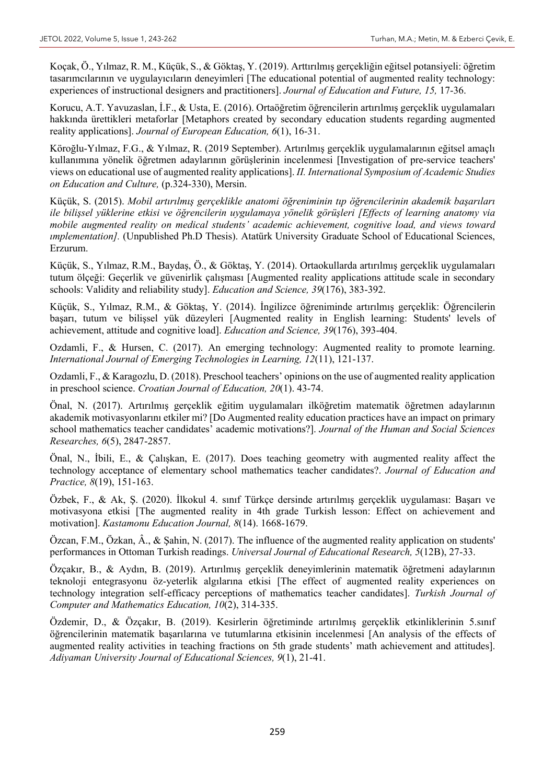Koçak, Ö., Yılmaz, R. M., Küçük, S., & Göktaş, Y. (2019). Arttırılmış gerçekliğin eğitsel potansiyeli: öğretim tasarımcılarının ve uygulayıcıların deneyimleri [The educational potential of augmented reality technology: experiences of instructional designers and practitioners]. *Journal of Education and Future, 15,* 17-36.

Korucu, A.T. Yavuzaslan, İ.F., & Usta, E. (2016). Ortaöğretim öğrencilerin artırılmış gerçeklik uygulamaları hakkında ürettikleri metaforlar [Metaphors created by secondary education students regarding augmented reality applications]. *Journal of European Education, 6*(1), 16-31.

Köroğlu-Yılmaz, F.G., & Yılmaz, R. (2019 September). Artırılmış gerçeklik uygulamalarının eğitsel amaçlı kullanımına yönelik öğretmen adaylarının görüşlerinin incelenmesi [Investigation of pre-service teachers' views on educational use of augmented reality applications]. *II. International Symposium of Academic Studies on Education and Culture,* (p.324-330), Mersin.

Küçük, S. (2015). *Mobil artırılmış gerçeklikle anatomi öğreniminin tıp öğrencilerinin akademik başarıları ile bilişsel yüklerine etkisi ve öğrencilerin uygulamaya yönelik görüşleri [Effects of learning anatomy via mobile augmented reality on medical students' academic achievement, cognitive load, and views toward ımplementation].* (Unpublished Ph.D Thesis). Atatürk University Graduate School of Educational Sciences, Erzurum.

Küçük, S., Yılmaz, R.M., Baydaş, Ö., & Göktaş, Y. (2014). Ortaokullarda artırılmış gerçeklik uygulamaları tutum ölçeği: Geçerlik ve güvenirlik çalışması [Augmented reality applications attitude scale in secondary schools: Validity and reliability study]. *Education and Science, 39*(176), 383-392.

Küçük, S., Yılmaz, R.M., & Göktaş, Y. (2014). İngilizce öğreniminde artırılmış gerçeklik: Öğrencilerin başarı, tutum ve bilişsel yük düzeyleri [Augmented reality in English learning: Students' levels of achievement, attitude and cognitive load]. *Education and Science, 39*(176), 393-404.

Ozdamli, F., & Hursen, C. (2017). An emerging technology: Augmented reality to promote learning. *International Journal of Emerging Technologies in Learning, 12*(11), 121-137.

Ozdamli, F., & Karagozlu, D. (2018). Preschool teachers' opinions on the use of augmented reality application in preschool science. *Croatian Journal of Education, 20*(1). 43-74.

Önal, N. (2017). Artırılmış gerçeklik eğitim uygulamaları ilköğretim matematik öğretmen adaylarının akademik motivasyonlarını etkiler mi? [Do Augmented reality education practices have an impact on primary school mathematics teacher candidates' academic motivations?]. *Journal of the Human and Social Sciences Researches, 6*(5), 2847-2857.

Önal, N., İbili, E., & Çalışkan, E. (2017). Does teaching geometry with augmented reality affect the technology acceptance of elementary school mathematics teacher candidates?. *Journal of Education and Practice, 8*(19), 151-163.

Özbek, F., & Ak, Ş. (2020). İlkokul 4. sınıf Türkçe dersinde artırılmış gerçeklik uygulaması: Başarı ve motivasyona etkisi [The augmented reality in 4th grade Turkish lesson: Effect on achievement and motivation]. *Kastamonu Education Journal, 8*(14). 1668-1679.

Özcan, F.M., Özkan,  $\hat{A}$ ., & Şahin, N. (2017). The influence of the augmented reality application on students' performances in Ottoman Turkish readings. *Universal Journal of Educational Research, 5*(12B), 27-33.

Özçakır, B., & Aydın, B. (2019). Artırılmış gerçeklik deneyimlerinin matematik öğretmeni adaylarının teknoloji entegrasyonu öz-yeterlik algılarına etkisi [The effect of augmented reality experiences on technology integration self-efficacy perceptions of mathematics teacher candidates]. *Turkish Journal of Computer and Mathematics Education, 10*(2), 314-335.

Özdemir, D., & Özçakır, B. (2019). Kesirlerin öğretiminde artırılmış gerçeklik etkinliklerinin 5.sınıf öğrencilerinin matematik başarılarına ve tutumlarına etkisinin incelenmesi [An analysis of the effects of augmented reality activities in teaching fractions on 5th grade students' math achievement and attitudes]. *Adiyaman University Journal of Educational Sciences, 9*(1), 21-41.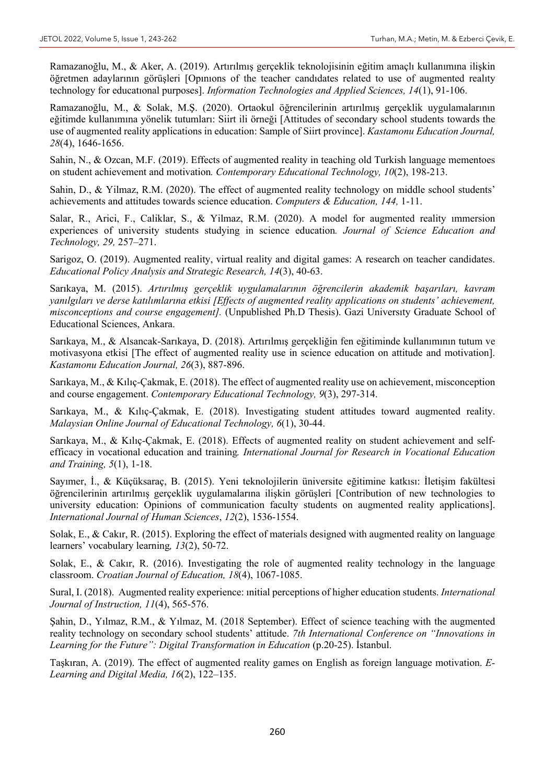Ramazanoğlu, M., & Aker, A. (2019). Artırılmış gerçeklik teknolojisinin eğitim amaçlı kullanımına ilişkin öğretmen adaylarının görüşleri [Opınıons of the teacher candıdates related to use of augmented realıty technology for educatıonal purposes]. *Information Technologies and Applied Sciences, 14*(1), 91-106.

Ramazanoğlu, M., & Solak, M.Ş. (2020). Ortaokul öğrencilerinin artırılmış gerçeklik uygulamalarının eğitimde kullanımına yönelik tutumları: Siirt ili örneği [Attitudes of secondary school students towards the use of augmented reality applications in education: Sample of Siirt province]. *Kastamonu Education Journal, 28*(4), 1646-1656.

Sahin, N., & Ozcan, M.F. (2019). Effects of augmented reality in teaching old Turkish language mementoes on student achievement and motivation*. Contemporary Educational Technology, 10*(2), 198-213.

Sahin, D., & Yilmaz, R.M. (2020). The effect of augmented reality technology on middle school students' achievements and attitudes towards science education. *Computers & Education, 144,* 1-11.

Salar, R., Arici, F., Caliklar, S., & Yilmaz, R.M. (2020). A model for augmented reality ımmersion experiences of university students studying in science education*. Journal of Science Education and Technology, 29,* 257–271.

Sarigoz, O. (2019). Augmented reality, virtual reality and digital games: A research on teacher candidates. *Educational Policy Analysis and Strategic Research, 14*(3), 40-63.

Sarıkaya, M. (2015). *Artırılmış gerçeklik uygulamalarının öğrencilerin akademik başarıları, kavram yanılgıları ve derse katılımlarına etkisi [Effects of augmented reality applications on students' achievement, misconceptions and course engagement].* (Unpublished Ph.D Thesis). Gazi Universıty Graduate School of Educational Sciences, Ankara.

Sarıkaya, M., & Alsancak-Sarıkaya, D. (2018). Artırılmış gerçekliğin fen eğitiminde kullanımının tutum ve motivasyona etkisi [The effect of augmented reality use in science education on attitude and motivation]. *Kastamonu Education Journal, 26*(3), 887-896.

Sarıkaya, M., & Kılıç-Çakmak, E. (2018). The effect of augmented reality use on achievement, misconception and course engagement. *Contemporary Educational Technology, 9*(3), 297-314.

Sarıkaya, M., & Kılıç-Çakmak, E. (2018). Investigating student attitudes toward augmented reality. *Malaysian Online Journal of Educational Technology, 6*(1), 30-44.

Sarıkaya, M., & Kılıç-Çakmak, E. (2018). Effects of augmented reality on student achievement and selfefficacy in vocational education and training*. International Journal for Research in Vocational Education and Training, 5*(1), 1-18.

Sayımer, İ., & Küçüksaraç, B. (2015). Yeni teknolojilerin üniversite eğitimine katkısı: İletişim fakültesi öğrencilerinin artırılmış gerçeklik uygulamalarına ilişkin görüşleri [Contribution of new technologies to university education: Opinions of communication faculty students on augmented reality applications]. *International Journal of Human Sciences*, *12*(2), 1536-1554.

Solak, E., & Cakır, R. (2015). Exploring the effect of materials designed with augmented reality on language learners' vocabulary learning*, 13*(2), 50-72.

Solak, E., & Cakır, R. (2016). Investigating the role of augmented reality technology in the language classroom. *Croatian Journal of Education, 18*(4), 1067-1085.

Sural, I. (2018). Augmented reality experience: ınitial perceptions of higher education students. *International Journal of Instruction, 11*(4), 565-576.

Şahin, D., Yılmaz, R.M., & Yılmaz, M. (2018 September). Effect of science teaching with the augmented reality technology on secondary school students' attitude. *7th International Conference on "Innovations in*  Learning for the Future": Digital Transformation in Education (p.20-25). İstanbul.

Taşkıran, A. (2019). The effect of augmented reality games on English as foreign language motivation. *E-Learning and Digital Media, 16*(2), 122–135.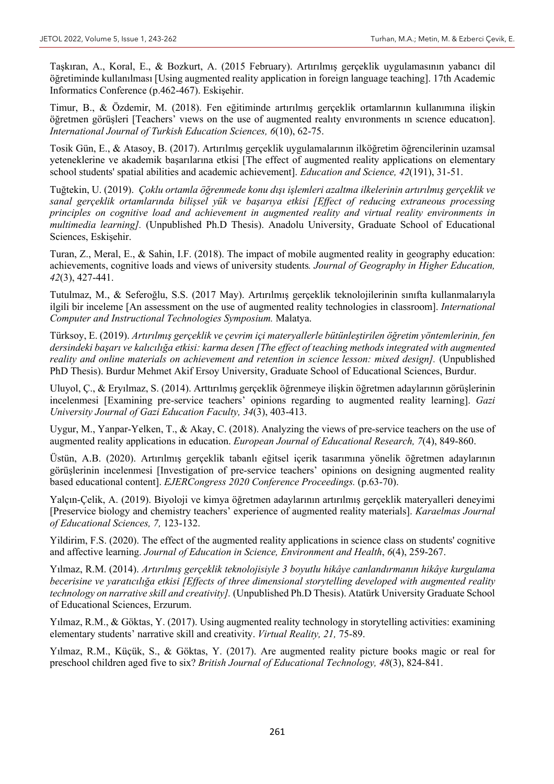Taşkıran, A., Koral, E., & Bozkurt, A. (2015 February). Artırılmış gerçeklik uygulamasının yabancı dil öğretiminde kullanılması [Using augmented reality application in foreign language teaching]. 17th Academic Informatics Conference (p.462-467). Eskişehir.

Timur, B., & Özdemir, M. (2018). Fen eğitiminde artırılmış gerçeklik ortamlarının kullanımına ilişkin öğretmen görüşleri [Teachers' vıews on the use of augmented realıty envıronments ın scıence educatıon]. *International Journal of Turkish Education Sciences, 6*(10), 62-75.

Tosik Gün, E., & Atasoy, B. (2017). Artırılmış gerçeklik uygulamalarının ilköğretim öğrencilerinin uzamsal yeteneklerine ve akademik başarılarına etkisi [The effect of augmented reality applications on elementary school students' spatial abilities and academic achievement]. *Education and Science, 42*(191), 31-51.

Tuğtekin, U. (2019). *Çoklu ortamla öğrenmede konu dışı işlemleri azaltma ilkelerinin artırılmış gerçeklik ve sanal gerçeklik ortamlarında bilişsel yük ve başarıya etkisi [Effect of reducing extraneous processing principles on cognitive load and achievement in augmented reality and virtual reality environments in multimedia learning].* (Unpublished Ph.D Thesis). Anadolu University, Graduate School of Educational Sciences, Eskişehir.

Turan, Z., Meral, E., & Sahin, I.F. (2018). The impact of mobile augmented reality in geography education: achievements, cognitive loads and views of university students*. Journal of Geography in Higher Education, 42*(3), 427-441.

Tutulmaz, M., & Seferoğlu, S.S. (2017 May). Artırılmış gerçeklik teknolojilerinin sınıfta kullanmalarıyla ilgili bir inceleme [An assessment on the use of augmented reality technologies in classroom]. *International Computer and Instructional Technologies Symposium.* Malatya.

Türksoy, E. (2019). *Artırılmış gerçeklik ve çevrim içi materyallerle bütünleştirilen öğretim yöntemlerinin, fen dersindeki başarı ve kalıcılığa etkisi: karma desen [The effect of teaching methods integrated with augmented reality and online materials on achievement and retention in science lesson: mixed design].* (Unpublished PhD Thesis). Burdur Mehmet Akif Ersoy University, Graduate School of Educational Sciences, Burdur.

Uluyol, Ç., & Eryılmaz, S. (2014). Arttırılmış gerçeklik öğrenmeye ilişkin öğretmen adaylarının görüşlerinin incelenmesi [Examining pre-service teachers' opinions regarding to augmented reality learning]. *Gazi University Journal of Gazi Education Faculty, 34*(3), 403-413.

Uygur, M., Yanpar-Yelken, T., & Akay, C. (2018). Analyzing the views of pre-service teachers on the use of augmented reality applications in education. *European Journal of Educational Research, 7*(4), 849-860.

Üstün, A.B. (2020). Artırılmış gerçeklik tabanlı eğitsel içerik tasarımına yönelik öğretmen adaylarının görüşlerinin incelenmesi [Investigation of pre-service teachers' opinions on designing augmented reality based educational content]. *EJERCongress 2020 Conference Proceedings.* (p.63-70).

Yalçın-Çelik, A. (2019). Biyoloji ve kimya öğretmen adaylarının artırılmış gerçeklik materyalleri deneyimi [Preservice biology and chemistry teachers' experience of augmented reality materials]. *Karaelmas Journal of Educational Sciences, 7,* 123-132.

Yildirim, F.S. (2020). The effect of the augmented reality applications in science class on students' cognitive and affective learning. *Journal of Education in Science, Environment and Health*, *6*(4), 259-267.

Yılmaz, R.M. (2014). *Artırılmış gerçeklik teknolojisiyle 3 boyutlu hikâye canlandırmanın hikâye kurgulama becerisine ve yaratıcılığa etkisi [Effects of three dimensional storytelling developed with augmented reality technology on narrative skill and creativity].* (Unpublished Ph.D Thesis). Atatürk University Graduate School of Educational Sciences, Erzurum.

Yılmaz, R.M., & Göktas, Y. (2017). Using augmented reality technology in storytelling activities: examining elementary students' narrative skill and creativity. *Virtual Reality, 21,* 75-89.

Yılmaz, R.M., Küçük, S., & Göktas, Y. (2017). Are augmented reality picture books magic or real for preschool children aged five to six? *British Journal of Educational Technology, 48*(3), 824-841.